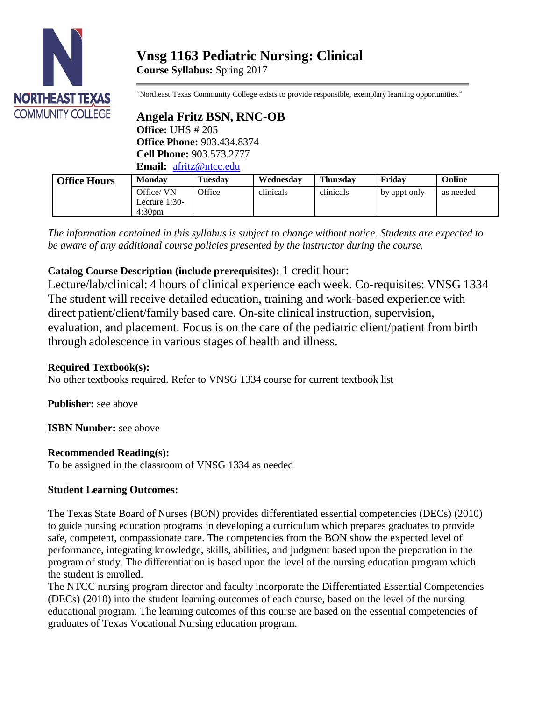

**Course Syllabus:** Spring 2017

"Northeast Texas Community College exists to provide responsible, exemplary learning opportunities."

## **Angela Fritz BSN, RNC-OB Office:** UHS # 205

**Office Phone:** 903.434.8374 **Cell Phone:** 903.573.2777 **Email:** [afritz@ntcc.edu](mailto:afritz@ntcc.edu)

| <b>Office Hours</b> | <b>Monday</b>                                      | Tuesdav | Wednesday | <b>Thursday</b> | Fridav       | Online    |
|---------------------|----------------------------------------------------|---------|-----------|-----------------|--------------|-----------|
|                     | Office/VN<br>Lecture $1:30-$<br>4:30 <sub>pm</sub> | Office  | clinicals | clinicals       | by appt only | as needed |

*The information contained in this syllabus is subject to change without notice. Students are expected to be aware of any additional course policies presented by the instructor during the course.*

# **Catalog Course Description (include prerequisites):** 1 credit hour:

Lecture/lab/clinical: 4 hours of clinical experience each week. Co-requisites: VNSG 1334 The student will receive detailed education, training and work-based experience with direct patient/client/family based care. On-site clinical instruction, supervision, evaluation, and placement. Focus is on the care of the pediatric client/patient from birth through adolescence in various stages of health and illness.

# **Required Textbook(s):**

No other textbooks required. Refer to VNSG 1334 course for current textbook list

**Publisher:** see above

**ISBN Number:** see above

# **Recommended Reading(s):**

To be assigned in the classroom of VNSG 1334 as needed

# **Student Learning Outcomes:**

The Texas State Board of Nurses (BON) provides differentiated essential competencies (DECs) (2010) to guide nursing education programs in developing a curriculum which prepares graduates to provide safe, competent, compassionate care. The competencies from the BON show the expected level of performance, integrating knowledge, skills, abilities, and judgment based upon the preparation in the program of study. The differentiation is based upon the level of the nursing education program which the student is enrolled.

The NTCC nursing program director and faculty incorporate the Differentiated Essential Competencies (DECs) (2010) into the student learning outcomes of each course, based on the level of the nursing educational program. The learning outcomes of this course are based on the essential competencies of graduates of Texas Vocational Nursing education program.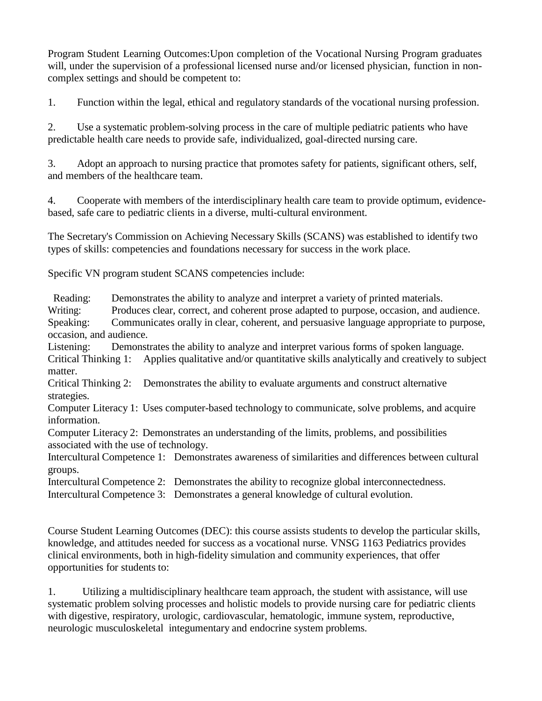Program Student Learning Outcomes:Upon completion of the Vocational Nursing Program graduates will, under the supervision of a professional licensed nurse and/or licensed physician, function in noncomplex settings and should be competent to:

1. Function within the legal, ethical and regulatory standards of the vocational nursing profession.

2. Use a systematic problem-solving process in the care of multiple pediatric patients who have predictable health care needs to provide safe, individualized, goal-directed nursing care.

3. Adopt an approach to nursing practice that promotes safety for patients, significant others, self, and members of the healthcare team.

4. Cooperate with members of the interdisciplinary health care team to provide optimum, evidencebased, safe care to pediatric clients in a diverse, multi-cultural environment.

The Secretary's Commission on Achieving Necessary Skills (SCANS) was established to identify two types of skills: competencies and foundations necessary for success in the work place.

Specific VN program student SCANS competencies include:

Reading: Demonstrates the ability to analyze and interpret a variety of printed materials. Writing: Produces clear, correct, and coherent prose adapted to purpose, occasion, and audience. Speaking: Communicates orally in clear, coherent, and persuasive language appropriate to purpose, occasion, and audience.

Listening: Demonstrates the ability to analyze and interpret various forms of spoken language. Critical Thinking 1: Applies qualitative and/or quantitative skills analytically and creatively to subject matter.

Critical Thinking 2: Demonstrates the ability to evaluate arguments and construct alternative strategies.

Computer Literacy 1: Uses computer-based technology to communicate, solve problems, and acquire information.

Computer Literacy 2: Demonstrates an understanding of the limits, problems, and possibilities associated with the use of technology.

Intercultural Competence 1: Demonstrates awareness of similarities and differences between cultural groups.

Intercultural Competence 2: Demonstrates the ability to recognize global interconnectedness.

Intercultural Competence 3: Demonstrates a general knowledge of cultural evolution.

Course Student Learning Outcomes (DEC): this course assists students to develop the particular skills, knowledge, and attitudes needed for success as a vocational nurse. VNSG 1163 Pediatrics provides clinical environments, both in high-fidelity simulation and community experiences, that offer opportunities for students to:

1. Utilizing a multidisciplinary healthcare team approach, the student with assistance, will use systematic problem solving processes and holistic models to provide nursing care for pediatric clients with digestive, respiratory, urologic, cardiovascular, hematologic, immune system, reproductive, neurologic musculoskeletal integumentary and endocrine system problems.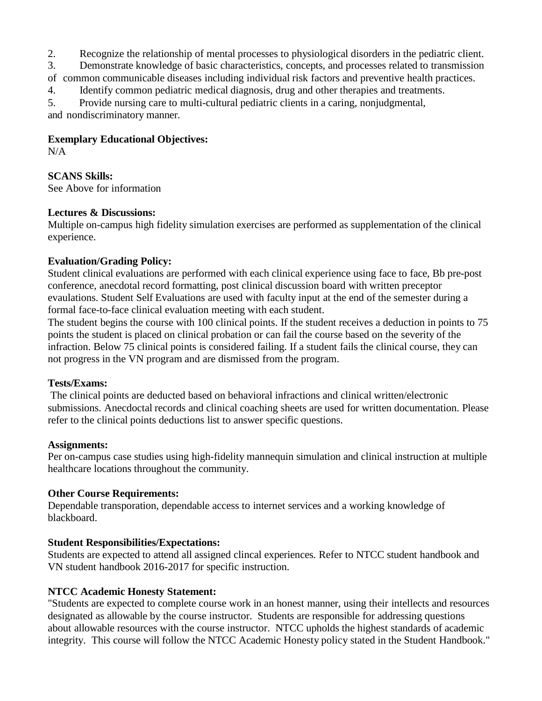2. Recognize the relationship of mental processes to physiological disorders in the pediatric client.

3. Demonstrate knowledge of basic characteristics, concepts, and processes related to transmission

of common communicable diseases including individual risk factors and preventive health practices.

4. Identify common pediatric medical diagnosis, drug and other therapies and treatments.

5. Provide nursing care to multi-cultural pediatric clients in a caring, nonjudgmental, and nondiscriminatory manner.

#### **Exemplary Educational Objectives:**

N/A

## **SCANS Skills:**

See Above for information

### **Lectures & Discussions:**

Multiple on-campus high fidelity simulation exercises are performed as supplementation of the clinical experience.

### **Evaluation/Grading Policy:**

Student clinical evaluations are performed with each clinical experience using face to face, Bb pre-post conference, anecdotal record formatting, post clinical discussion board with written preceptor evaulations. Student Self Evaluations are used with faculty input at the end of the semester during a formal face-to-face clinical evaluation meeting with each student.

The student begins the course with 100 clinical points. If the student receives a deduction in points to 75 points the student is placed on clinical probation or can fail the course based on the severity of the infraction. Below 75 clinical points is considered failing. If a student fails the clinical course, they can not progress in the VN program and are dismissed from the program.

### **Tests/Exams:**

The clinical points are deducted based on behavioral infractions and clinical written/electronic submissions. Anecdoctal records and clinical coaching sheets are used for written documentation. Please refer to the clinical points deductions list to answer specific questions.

### **Assignments:**

Per on-campus case studies using high-fidelity mannequin simulation and clinical instruction at multiple healthcare locations throughout the community.

## **Other Course Requirements:**

Dependable transporation, dependable access to internet services and a working knowledge of blackboard.

## **Student Responsibilities/Expectations:**

Students are expected to attend all assigned clincal experiences. Refer to NTCC student handbook and VN student handbook 2016-2017 for specific instruction.

## **NTCC Academic Honesty Statement:**

"Students are expected to complete course work in an honest manner, using their intellects and resources designated as allowable by the course instructor. Students are responsible for addressing questions about allowable resources with the course instructor. NTCC upholds the highest standards of academic integrity. This course will follow the NTCC Academic Honesty policy stated in the Student Handbook."